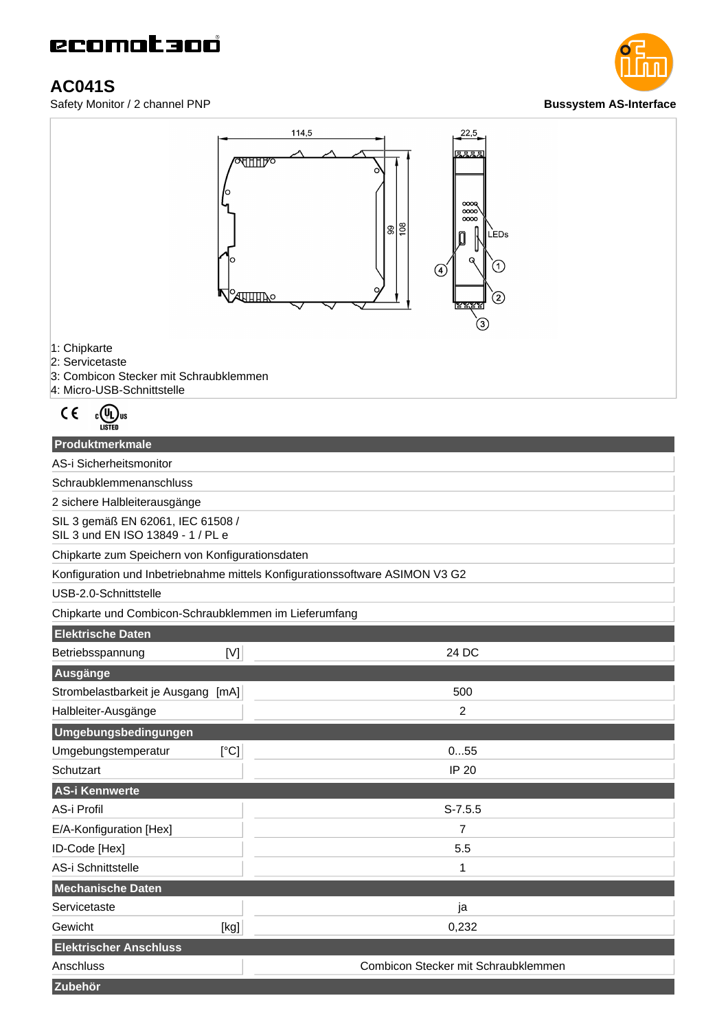# ecomotano

### **AC041S**

Safety Monitor / 2 channel PNP **Bussystem AS-Interface** 





1: Chipkarte

2: Servicetaste

- 3: Combicon Stecker mit Schraubklemmen
- 4: Micro-USB-Schnittstelle

$$
\mathsf{C}\in\mathbb{C}(\mathbb{U}_{\mathsf{Ll}})_{\text{us}}
$$

#### **Produktmerkmale**

AS-i Sicherheitsmonitor

Schraubklemmenanschluss

2 sichere Halbleiterausgänge

SIL 3 gemäß EN 62061, IEC 61508 / SIL 3 und EN ISO 13849 - 1 / PL e

Chipkarte zum Speichern von Konfigurationsdaten

Konfiguration und Inbetriebnahme mittels Konfigurationssoftware ASIMON V3 G2

USB-2.0-Schnittstelle

Chipkarte und Combicon-Schraubklemmen im Lieferumfang

| <b>Elektrische Daten</b>           |      |                                     |
|------------------------------------|------|-------------------------------------|
| Betriebsspannung                   | [V]  | 24 DC                               |
| Ausgänge                           |      |                                     |
| Strombelastbarkeit je Ausgang [mA] |      | 500                                 |
| Halbleiter-Ausgänge                |      | $\overline{c}$                      |
| Umgebungsbedingungen               |      |                                     |
| Umgebungstemperatur                | [°C] | 055                                 |
| Schutzart                          |      | IP 20                               |
| AS-i Kennwerte                     |      |                                     |
| AS-i Profil                        |      | $S-7.5.5$                           |
| E/A-Konfiguration [Hex]            |      | 7                                   |
| ID-Code [Hex]                      |      | 5.5                                 |
| AS-i Schnittstelle                 |      | 1                                   |
| Mechanische Daten                  |      |                                     |
| Servicetaste                       |      | ja                                  |
| Gewicht                            | [kg] | 0,232                               |
| <b>Elektrischer Anschluss</b>      |      |                                     |
| Anschluss                          |      | Combicon Stecker mit Schraubklemmen |
| Zubehör                            |      |                                     |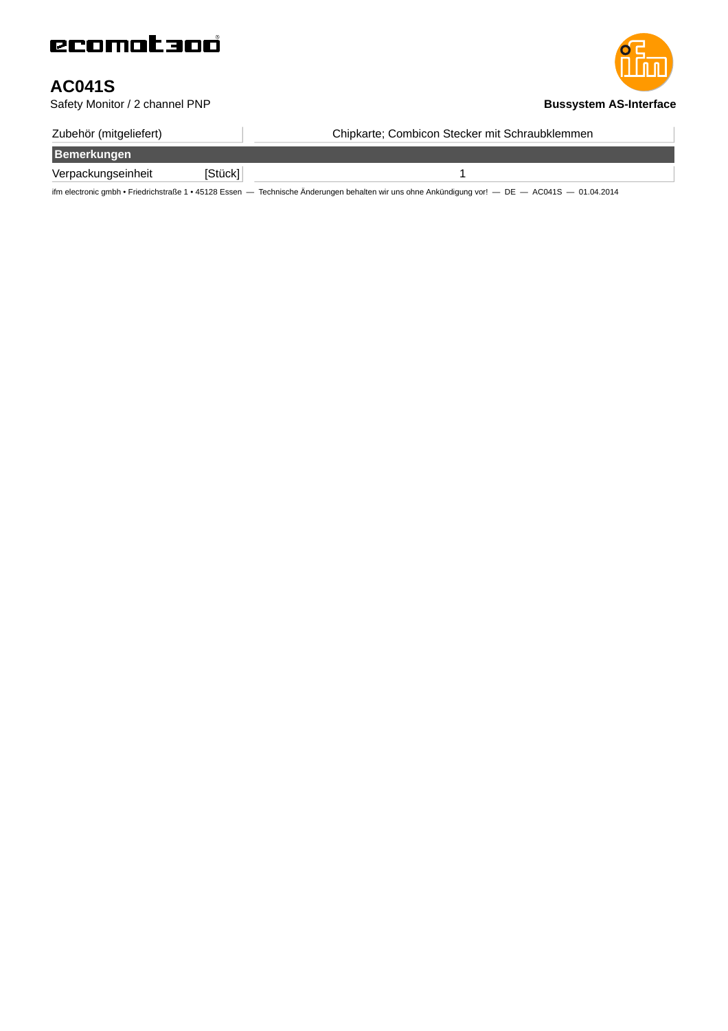### **AC041S**

Safety Monitor / 2 channel PNP **Bussystem AS-Interface** 

| Zubehör (mitgeliefert) |         | Chipkarte; Combicon Stecker mit Schraubklemmen                                                                                                  |
|------------------------|---------|-------------------------------------------------------------------------------------------------------------------------------------------------|
| Bemerkungen            |         |                                                                                                                                                 |
| Verpackungseinheit     | [Stück] |                                                                                                                                                 |
|                        |         | ifm electronic gmbh · Friedrichstraße 1 · 45128 Essen - Technische Änderungen behalten wir uns ohne Ankündigung vor! - DE - AC041S - 01.04.2014 |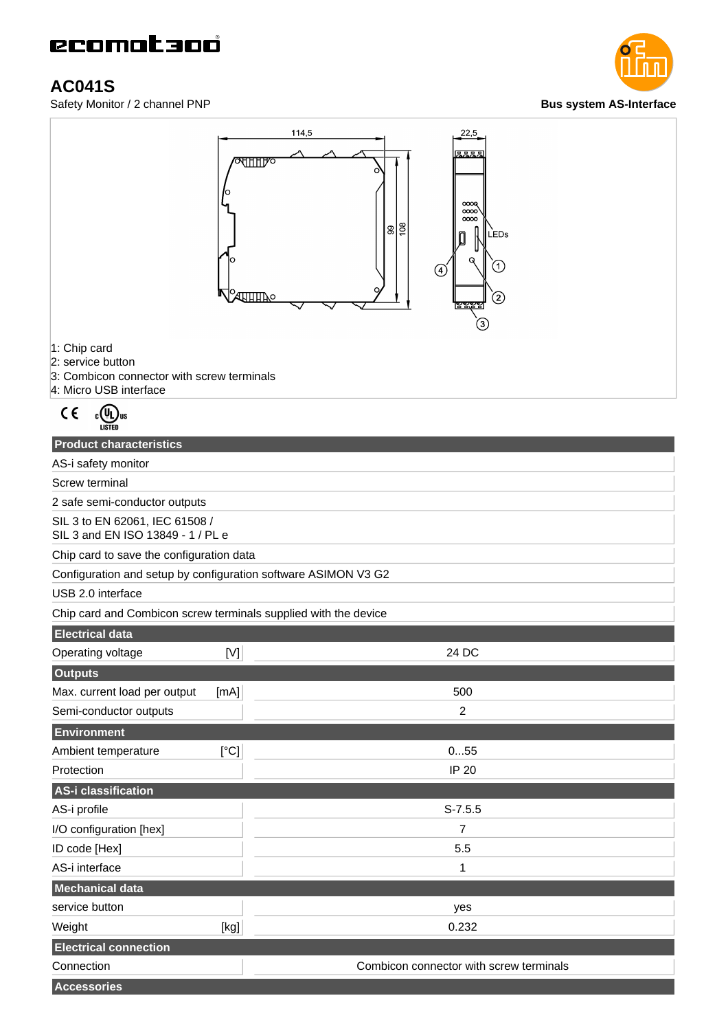# ecomat 300

### **AC041S**

**Safety Monitor / 2 channel PNP Bus** system AS-Interface





1: Chip card

2: service button

- 3: Combicon connector with screw terminals
- 4: Micro USB interface

$$
\mathsf{C}\in\mathbb{C}(\mathbb{Q}_{\mathsf{U}\mathsf{s}}^{\mathsf{U}\mathsf{R}})
$$

| <b>Product characteristics</b>                                      |       |
|---------------------------------------------------------------------|-------|
| AS-i safety monitor                                                 |       |
| Screw terminal                                                      |       |
| 2 safe semi-conductor outputs                                       |       |
| SIL 3 to EN 62061, IEC 61508 /<br>SIL 3 and EN ISO 13849 - 1 / PL e |       |
| Chip card to save the configuration data                            |       |
| Configuration and setup by configuration software ASIMON V3 G2      |       |
| USB 2.0 interface                                                   |       |
| Chip card and Combicon screw terminals supplied with the device     |       |
| <b>Electrical data</b>                                              |       |
| Operating voltage<br>M                                              | 24 DC |
| <b>Outputs</b>                                                      |       |
| [mA]<br>Max. current load per output                                | 500   |
| Semi-conductor outputs                                              | 2     |
| <b>Environment</b>                                                  |       |

| <b>EUVILORITUAL</b>          |      |                                         |
|------------------------------|------|-----------------------------------------|
| Ambient temperature          | [°C] | 055                                     |
| Protection                   |      | <b>IP 20</b>                            |
| AS-i classification          |      |                                         |
| AS-i profile                 |      | $S-7.5.5$                               |
| I/O configuration [hex]      |      |                                         |
| ID code [Hex]                |      | 5.5                                     |
| AS-i interface               |      | 1                                       |
| <b>Mechanical data</b>       |      |                                         |
| service button               |      | yes                                     |
| Weight                       | [kg] | 0.232                                   |
| <b>Electrical connection</b> |      |                                         |
| Connection                   |      | Combicon connector with screw terminals |
| <b>Accessories</b>           |      |                                         |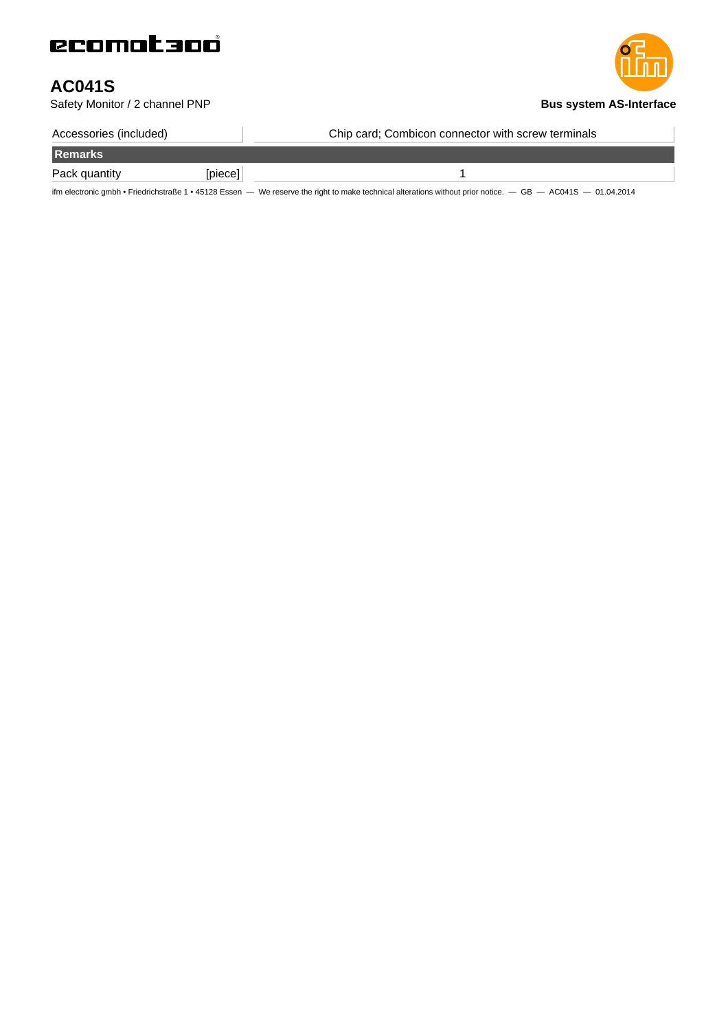## **AC041S**

**Safety Monitor / 2 channel PNP Bus** system AS-Interface

| Accessories (included) |         | Chip card; Combicon connector with screw terminals |
|------------------------|---------|----------------------------------------------------|
| Remarks                |         |                                                    |
| Pack quantity          | [piece] |                                                    |

ifm electronic gmbh • Friedrichstraße 1 • 45128 Essen — We reserve the right to make technical alterations without prior notice. — GB — AC041S — 01.04.2014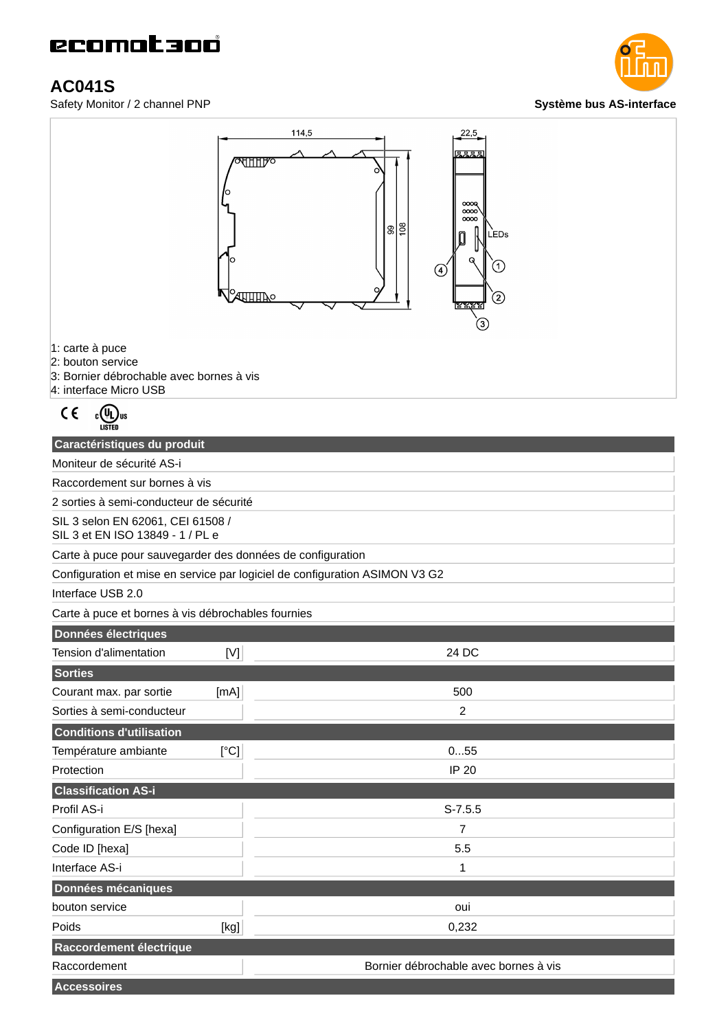### **AC041S**





1: carte à puce

2: bouton service

- 3: Bornier débrochable avec bornes à vis
- 4: interface Micro USB

$$
\mathsf{C}\in\mathbb{C}(\mathbb{Q}_{\mathsf{Ll}})_{\mathsf{US}}
$$

| Caractéristiques du produit                                                 |                                       |  |
|-----------------------------------------------------------------------------|---------------------------------------|--|
| Moniteur de sécurité AS-i                                                   |                                       |  |
| Raccordement sur bornes à vis                                               |                                       |  |
| 2 sorties à semi-conducteur de sécurité                                     |                                       |  |
| SIL 3 selon EN 62061, CEI 61508 /<br>SIL 3 et EN ISO 13849 - 1 / PL e       |                                       |  |
| Carte à puce pour sauvegarder des données de configuration                  |                                       |  |
| Configuration et mise en service par logiciel de configuration ASIMON V3 G2 |                                       |  |
| Interface USB 2.0                                                           |                                       |  |
| Carte à puce et bornes à vis débrochables fournies                          |                                       |  |
| <b>Données électriques</b>                                                  |                                       |  |
| Tension d'alimentation<br>[V]                                               | 24 DC                                 |  |
| <b>Sorties</b>                                                              |                                       |  |
| Courant max. par sortie<br>[mA]                                             | 500                                   |  |
| Sorties à semi-conducteur                                                   | 2                                     |  |
| <b>Conditions d'utilisation</b>                                             |                                       |  |
| Température ambiante<br>[°C]                                                | 055                                   |  |
| Protection                                                                  | <b>IP 20</b>                          |  |
| <b>Classification AS-i</b>                                                  |                                       |  |
| Profil AS-i                                                                 | $S-7.5.5$                             |  |
| Configuration E/S [hexa]                                                    | $\overline{7}$                        |  |
| Code ID [hexa]                                                              | 5.5                                   |  |
| Interface AS-i                                                              | 1                                     |  |
| Données mécaniques                                                          |                                       |  |
| bouton service                                                              | oui                                   |  |
| Poids<br>[kg]                                                               | 0,232                                 |  |
| Raccordement électrique                                                     |                                       |  |
| Raccordement                                                                | Bornier débrochable avec bornes à vis |  |
| <b>Accessoires</b>                                                          |                                       |  |